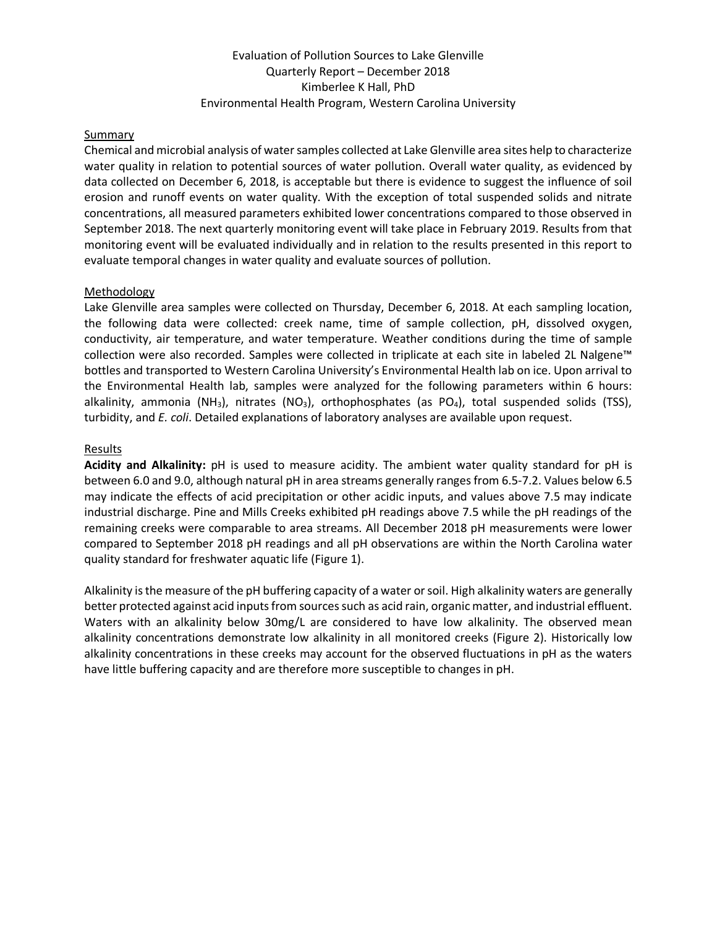## Evaluation of Pollution Sources to Lake Glenville Quarterly Report – December 2018 Kimberlee K Hall, PhD Environmental Health Program, Western Carolina University

#### **Summary**

Chemical and microbial analysis of water samples collected at Lake Glenville area sites help to characterize water quality in relation to potential sources of water pollution. Overall water quality, as evidenced by data collected on December 6, 2018, is acceptable but there is evidence to suggest the influence of soil erosion and runoff events on water quality. With the exception of total suspended solids and nitrate concentrations, all measured parameters exhibited lower concentrations compared to those observed in September 2018. The next quarterly monitoring event will take place in February 2019. Results from that monitoring event will be evaluated individually and in relation to the results presented in this report to evaluate temporal changes in water quality and evaluate sources of pollution.

#### Methodology

Lake Glenville area samples were collected on Thursday, December 6, 2018. At each sampling location, the following data were collected: creek name, time of sample collection, pH, dissolved oxygen, conductivity, air temperature, and water temperature. Weather conditions during the time of sample collection were also recorded. Samples were collected in triplicate at each site in labeled 2L Nalgene™ bottles and transported to Western Carolina University's Environmental Health lab on ice. Upon arrival to the Environmental Health lab, samples were analyzed for the following parameters within 6 hours: alkalinity, ammonia (NH<sub>3</sub>), nitrates (NO<sub>3</sub>), orthophosphates (as PO<sub>4</sub>), total suspended solids (TSS), turbidity, and *E. coli*. Detailed explanations of laboratory analyses are available upon request.

#### **Results**

**Acidity and Alkalinity:** pH is used to measure acidity. The ambient water quality standard for pH is between 6.0 and 9.0, although natural pH in area streams generally ranges from 6.5-7.2. Values below 6.5 may indicate the effects of acid precipitation or other acidic inputs, and values above 7.5 may indicate industrial discharge. Pine and Mills Creeks exhibited pH readings above 7.5 while the pH readings of the remaining creeks were comparable to area streams. All December 2018 pH measurements were lower compared to September 2018 pH readings and all pH observations are within the North Carolina water quality standard for freshwater aquatic life (Figure 1).

Alkalinity is the measure of the pH buffering capacity of a water or soil. High alkalinity waters are generally better protected against acid inputs from sources such as acid rain, organic matter, and industrial effluent. Waters with an alkalinity below 30mg/L are considered to have low alkalinity. The observed mean alkalinity concentrations demonstrate low alkalinity in all monitored creeks (Figure 2). Historically low alkalinity concentrations in these creeks may account for the observed fluctuations in pH as the waters have little buffering capacity and are therefore more susceptible to changes in pH.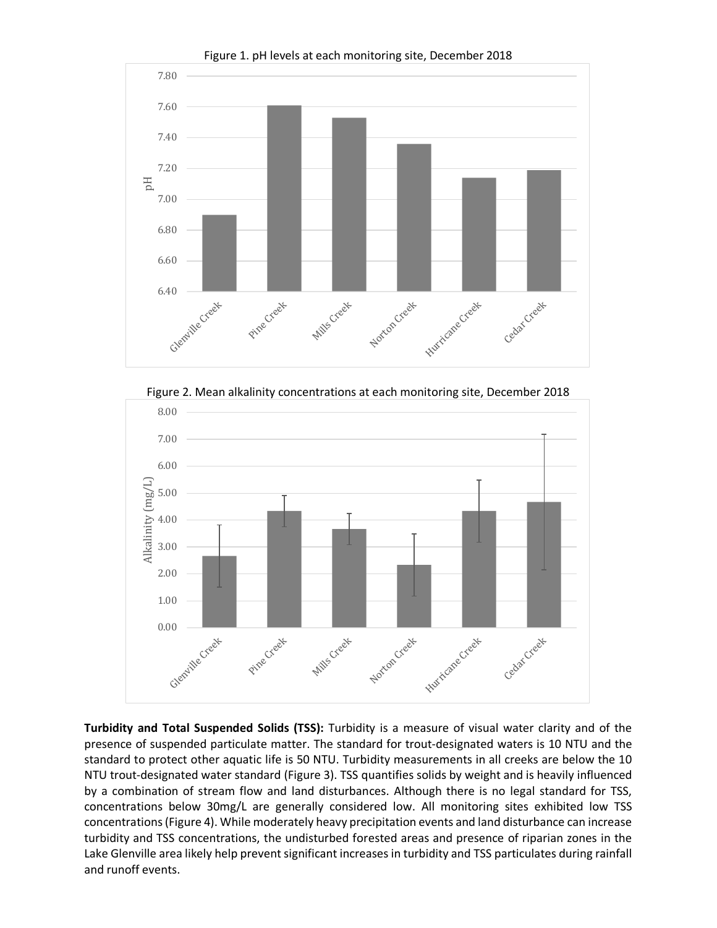





**Turbidity and Total Suspended Solids (TSS):** Turbidity is a measure of visual water clarity and of the presence of suspended particulate matter. The standard for trout-designated waters is 10 NTU and the standard to protect other aquatic life is 50 NTU. Turbidity measurements in all creeks are below the 10 NTU trout-designated water standard (Figure 3). TSS quantifies solids by weight and is heavily influenced by a combination of stream flow and land disturbances. Although there is no legal standard for TSS, concentrations below 30mg/L are generally considered low. All monitoring sites exhibited low TSS concentrations (Figure 4). While moderately heavy precipitation events and land disturbance can increase turbidity and TSS concentrations, the undisturbed forested areas and presence of riparian zones in the Lake Glenville area likely help prevent significant increases in turbidity and TSS particulates during rainfall and runoff events.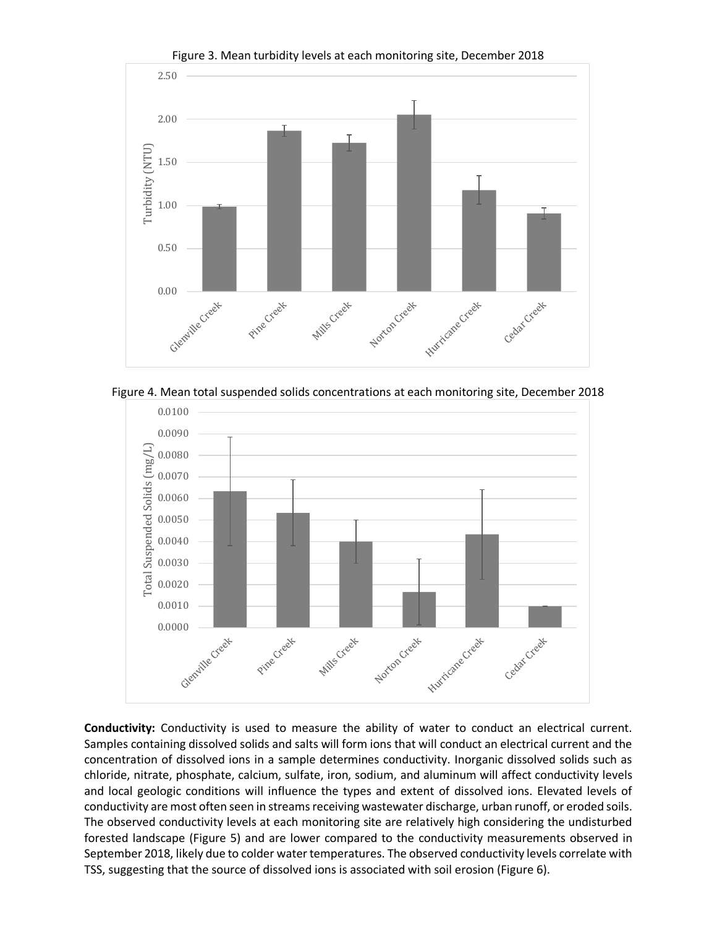

Figure 3. Mean turbidity levels at each monitoring site, December 2018





**Conductivity:** Conductivity is used to measure the ability of water to conduct an electrical current. Samples containing dissolved solids and salts will form ions that will conduct an electrical current and the concentration of dissolved ions in a sample determines conductivity. Inorganic dissolved solids such as chloride, nitrate, phosphate, calcium, sulfate, iron, sodium, and aluminum will affect conductivity levels and local geologic conditions will influence the types and extent of dissolved ions. Elevated levels of conductivity are most often seen in streams receiving wastewater discharge, urban runoff, or eroded soils. The observed conductivity levels at each monitoring site are relatively high considering the undisturbed forested landscape (Figure 5) and are lower compared to the conductivity measurements observed in September 2018, likely due to colder water temperatures. The observed conductivity levels correlate with TSS, suggesting that the source of dissolved ions is associated with soil erosion (Figure 6).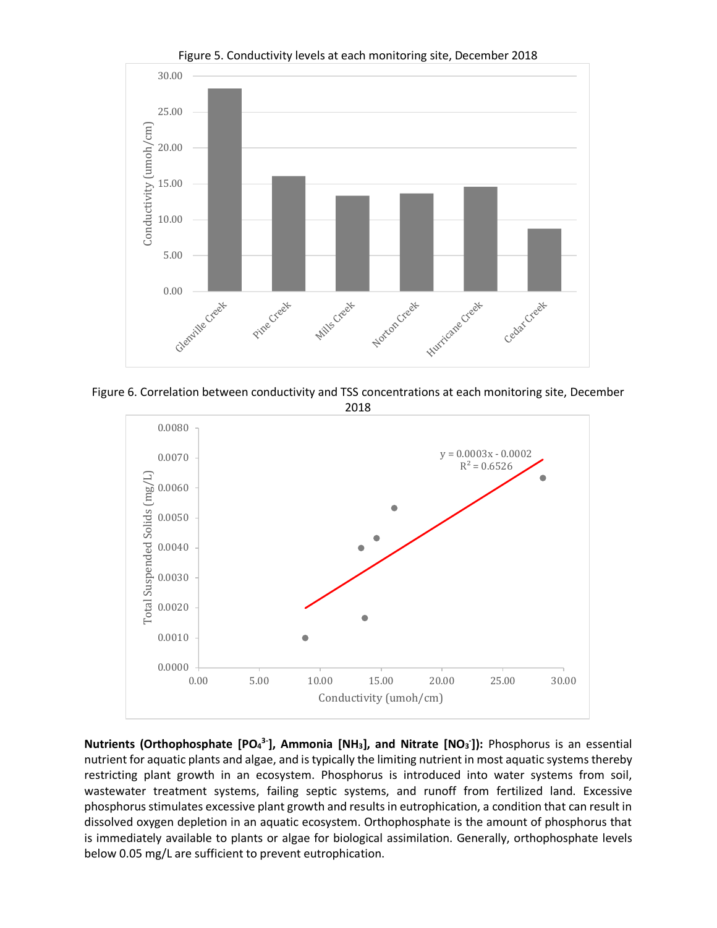

Figure 5. Conductivity levels at each monitoring site, December 2018





**Nutrients (Orthophosphate [PO<sub>4</sub><sup>3-</sup>], Ammonia [NH<sub>3</sub>], and Nitrate [NO<sub>3</sub><sup>-</sup>]): Phosphorus is an essential** nutrient for aquatic plants and algae, and is typically the limiting nutrient in most aquatic systems thereby restricting plant growth in an ecosystem. Phosphorus is introduced into water systems from soil, wastewater treatment systems, failing septic systems, and runoff from fertilized land. Excessive phosphorus stimulates excessive plant growth and results in eutrophication, a condition that can result in dissolved oxygen depletion in an aquatic ecosystem. Orthophosphate is the amount of phosphorus that is immediately available to plants or algae for biological assimilation. Generally, orthophosphate levels below 0.05 mg/L are sufficient to prevent eutrophication.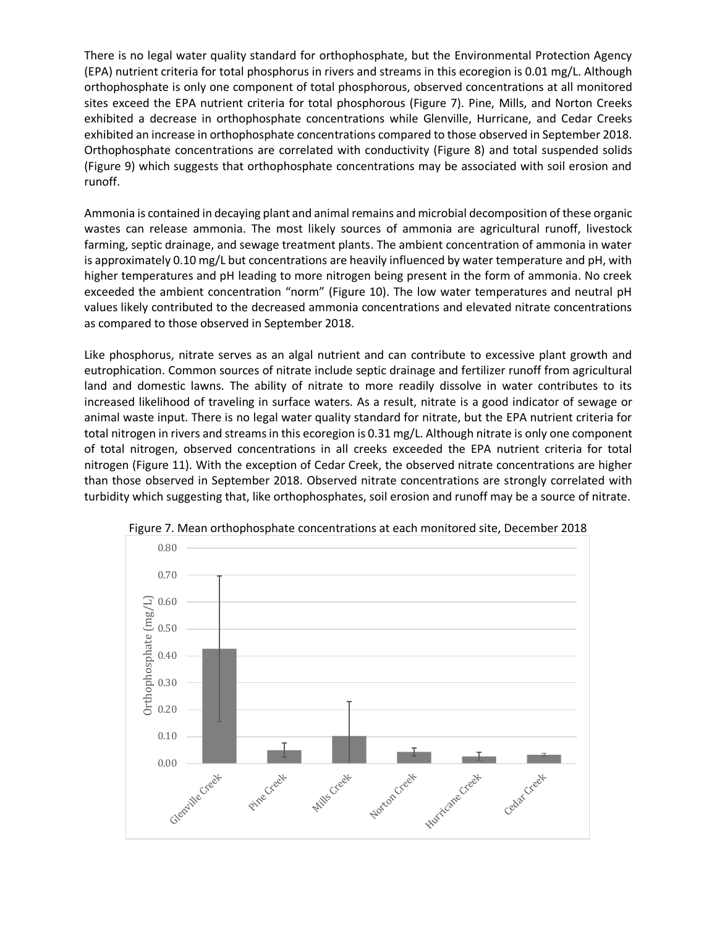There is no legal water quality standard for orthophosphate, but the Environmental Protection Agency (EPA) nutrient criteria for total phosphorus in rivers and streams in this ecoregion is 0.01 mg/L. Although orthophosphate is only one component of total phosphorous, observed concentrations at all monitored sites exceed the EPA nutrient criteria for total phosphorous (Figure 7). Pine, Mills, and Norton Creeks exhibited a decrease in orthophosphate concentrations while Glenville, Hurricane, and Cedar Creeks exhibited an increase in orthophosphate concentrations compared to those observed in September 2018. Orthophosphate concentrations are correlated with conductivity (Figure 8) and total suspended solids (Figure 9) which suggests that orthophosphate concentrations may be associated with soil erosion and runoff.

Ammonia is contained in decaying plant and animal remains and microbial decomposition of these organic wastes can release ammonia. The most likely sources of ammonia are agricultural runoff, livestock farming, septic drainage, and sewage treatment plants. The ambient concentration of ammonia in water is approximately 0.10 mg/L but concentrations are heavily influenced by water temperature and pH, with higher temperatures and pH leading to more nitrogen being present in the form of ammonia. No creek exceeded the ambient concentration "norm" (Figure 10). The low water temperatures and neutral pH values likely contributed to the decreased ammonia concentrations and elevated nitrate concentrations as compared to those observed in September 2018.

Like phosphorus, nitrate serves as an algal nutrient and can contribute to excessive plant growth and eutrophication. Common sources of nitrate include septic drainage and fertilizer runoff from agricultural land and domestic lawns. The ability of nitrate to more readily dissolve in water contributes to its increased likelihood of traveling in surface waters. As a result, nitrate is a good indicator of sewage or animal waste input. There is no legal water quality standard for nitrate, but the EPA nutrient criteria for total nitrogen in rivers and streams in this ecoregion is 0.31 mg/L. Although nitrate is only one component of total nitrogen, observed concentrations in all creeks exceeded the EPA nutrient criteria for total nitrogen (Figure 11). With the exception of Cedar Creek, the observed nitrate concentrations are higher than those observed in September 2018. Observed nitrate concentrations are strongly correlated with turbidity which suggesting that, like orthophosphates, soil erosion and runoff may be a source of nitrate.



Figure 7. Mean orthophosphate concentrations at each monitored site, December 2018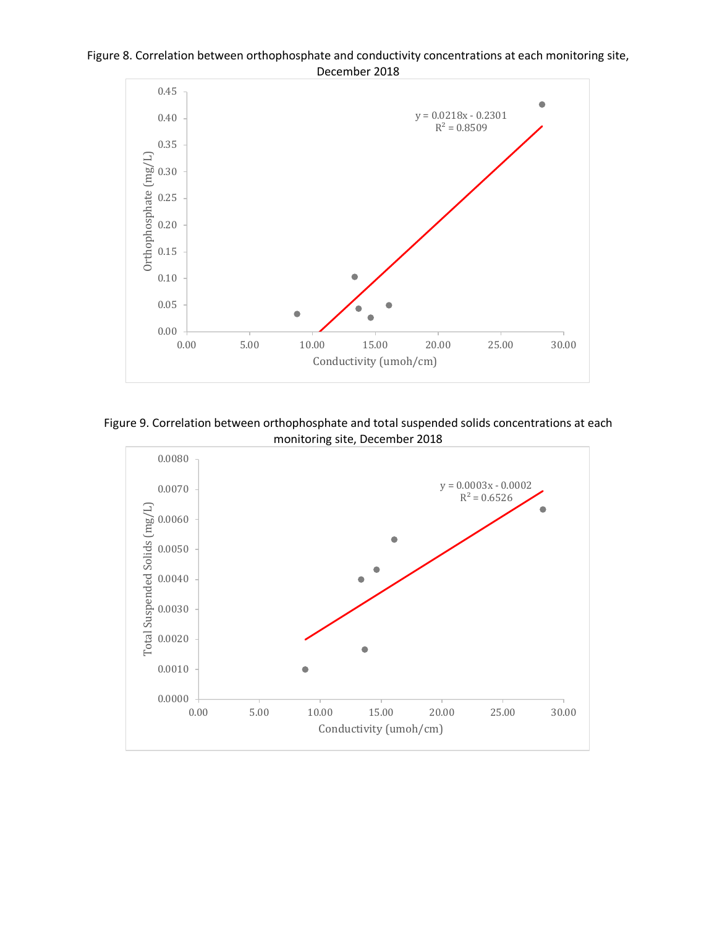





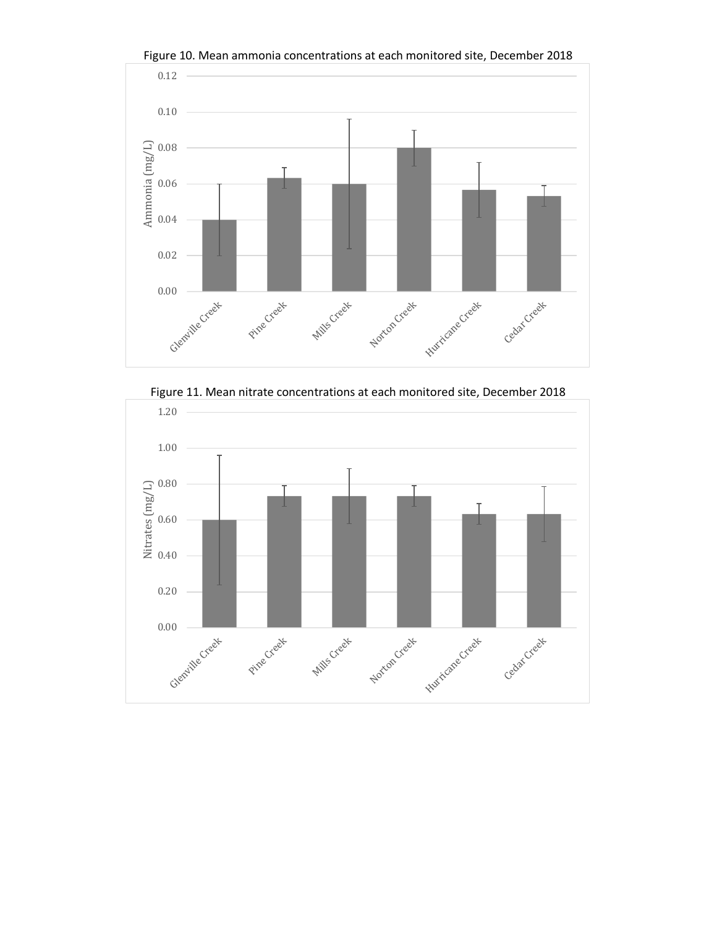

Figure 10. Mean ammonia concentrations at each monitored site, December 2018



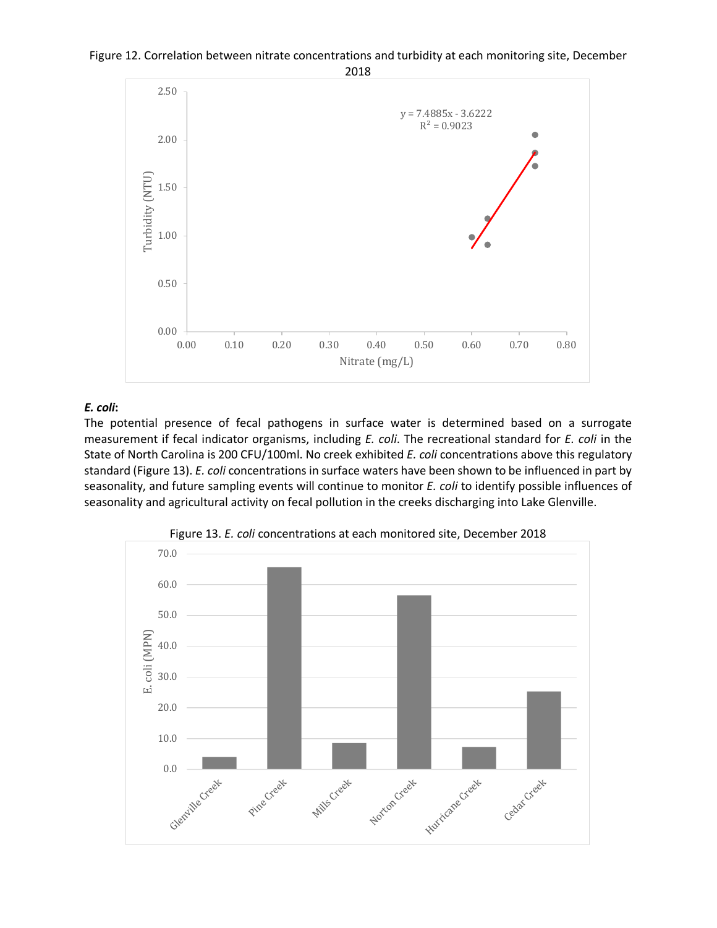



 $\bullet$ 

۵

# *E. coli***:**

0.00

0.50

1.00

Turbidity (NTU)

Turbidity (NTU)

1.50

2.00

2.50

The potential presence of fecal pathogens in surface water is determined based on a surrogate measurement if fecal indicator organisms, including *E. coli*. The recreational standard for *E. coli* in the State of North Carolina is 200 CFU/100ml. No creek exhibited *E. coli* concentrations above this regulatory standard (Figure 13). *E. coli* concentrations in surface waters have been shown to be influenced in part by seasonality, and future sampling events will continue to monitor *E. coli* to identify possible influences of seasonality and agricultural activity on fecal pollution in the creeks discharging into Lake Glenville.

0.00 0.10 0.20 0.30 0.40 0.50 0.60 0.70 0.80

Nitrate  $(mg/L)$